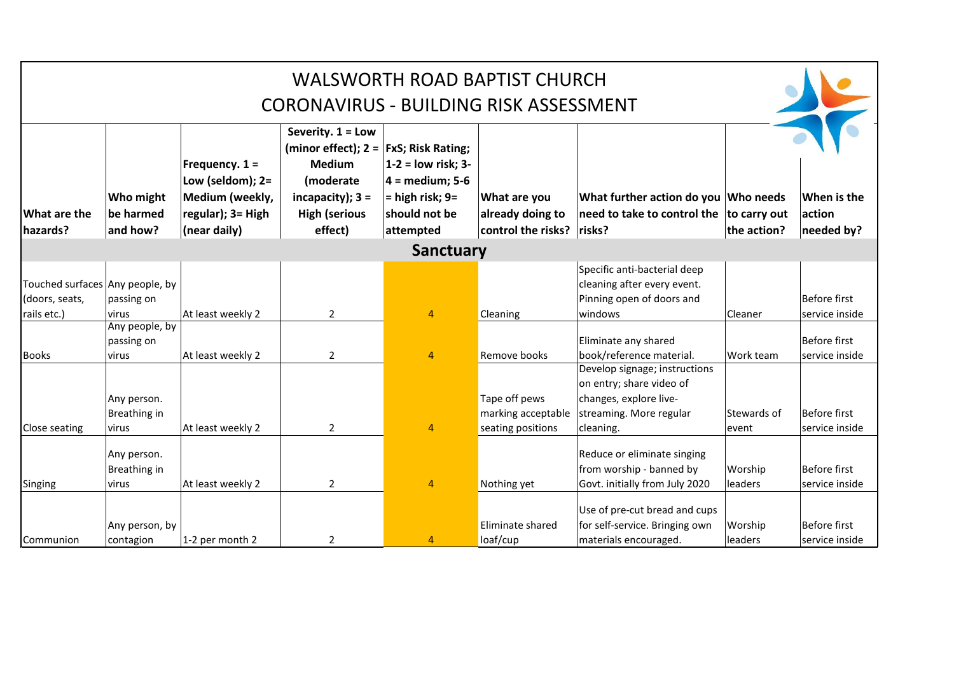|                                 |                                    |                                                                                                |                                                                                                                                                      |                                                                                              | <b>WALSWORTH ROAD BAPTIST CHURCH</b>                   |                                                                                            |                    |                                     |
|---------------------------------|------------------------------------|------------------------------------------------------------------------------------------------|------------------------------------------------------------------------------------------------------------------------------------------------------|----------------------------------------------------------------------------------------------|--------------------------------------------------------|--------------------------------------------------------------------------------------------|--------------------|-------------------------------------|
|                                 |                                    |                                                                                                | CORONAVIRUS - BUILDING RISK ASSESSMENT                                                                                                               |                                                                                              |                                                        |                                                                                            |                    |                                     |
| What are the<br>hazards?        | Who might<br>be harmed<br>and how? | Frequency. $1 =$<br>Low (seldom); $2=$<br>Medium (weekly,<br>regular); 3= High<br>(near daily) | Severity. 1 = Low<br>(minor effect); $2 =  FxS; Risk Rating;$<br><b>Medium</b><br>(moderate<br>incapacity); $3 =$<br><b>High (serious</b><br>effect) | $1-2 =$ low risk; 3-<br>$4 = medium; 5-6$<br>$=$ high risk; 9=<br>should not be<br>attempted | What are you<br>already doing to<br>control the risks? | What further action do you Who needs<br>need to take to control the to carry out<br>risks? | the action?        | When is the<br>action<br>needed by? |
|                                 |                                    |                                                                                                |                                                                                                                                                      | <b>Sanctuary</b>                                                                             |                                                        |                                                                                            |                    |                                     |
| Touched surfaces Any people, by |                                    |                                                                                                |                                                                                                                                                      |                                                                                              |                                                        | Specific anti-bacterial deep<br>cleaning after every event.                                |                    |                                     |
| (doors, seats,                  | passing on                         |                                                                                                |                                                                                                                                                      |                                                                                              |                                                        | Pinning open of doors and                                                                  |                    | Before first                        |
| rails etc.)                     | <u>lvirus</u>                      | At least weekly 2                                                                              | $\overline{2}$                                                                                                                                       | $\overline{4}$                                                                               | Cleaning                                               | windows                                                                                    | <b>Cleaner</b>     | service inside                      |
|                                 | Any people, by<br>passing on       |                                                                                                |                                                                                                                                                      |                                                                                              |                                                        | Eliminate any shared                                                                       |                    | Before first                        |
| <b>Books</b>                    | virus                              | At least weekly 2                                                                              | $\overline{2}$                                                                                                                                       | $\overline{4}$                                                                               | Remove books                                           | book/reference material.                                                                   | Work team          | service inside                      |
|                                 |                                    |                                                                                                |                                                                                                                                                      |                                                                                              |                                                        | Develop signage; instructions<br>on entry; share video of                                  |                    |                                     |
|                                 | Any person.<br>Breathing in        |                                                                                                |                                                                                                                                                      |                                                                                              | Tape off pews<br>marking acceptable                    | changes, explore live-<br>streaming. More regular                                          | <b>Stewards of</b> | Before first                        |
| Close seating                   | lvirus                             | At least weekly 2                                                                              | $\overline{2}$                                                                                                                                       | $\overline{4}$                                                                               | seating positions                                      | cleaning.                                                                                  | levent             | service inside                      |
|                                 | Any person.<br>Breathing in        |                                                                                                |                                                                                                                                                      |                                                                                              |                                                        | Reduce or eliminate singing<br>from worship - banned by                                    | Worship            | Before first                        |
| Singing                         | virus                              | At least weekly 2                                                                              | $\overline{2}$                                                                                                                                       | $\overline{4}$                                                                               | Nothing yet                                            | Govt. initially from July 2020                                                             | leaders            | service inside                      |
|                                 |                                    |                                                                                                |                                                                                                                                                      |                                                                                              |                                                        | Use of pre-cut bread and cups                                                              |                    |                                     |
|                                 | Any person, by                     |                                                                                                |                                                                                                                                                      |                                                                                              | Eliminate shared                                       | for self-service. Bringing own                                                             | Worship            | Before first                        |
| Communion                       | contagion                          | 1-2 per month 2                                                                                | $\overline{2}$                                                                                                                                       | 4                                                                                            | loaf/cup                                               | materials encouraged.                                                                      | leaders            | service inside                      |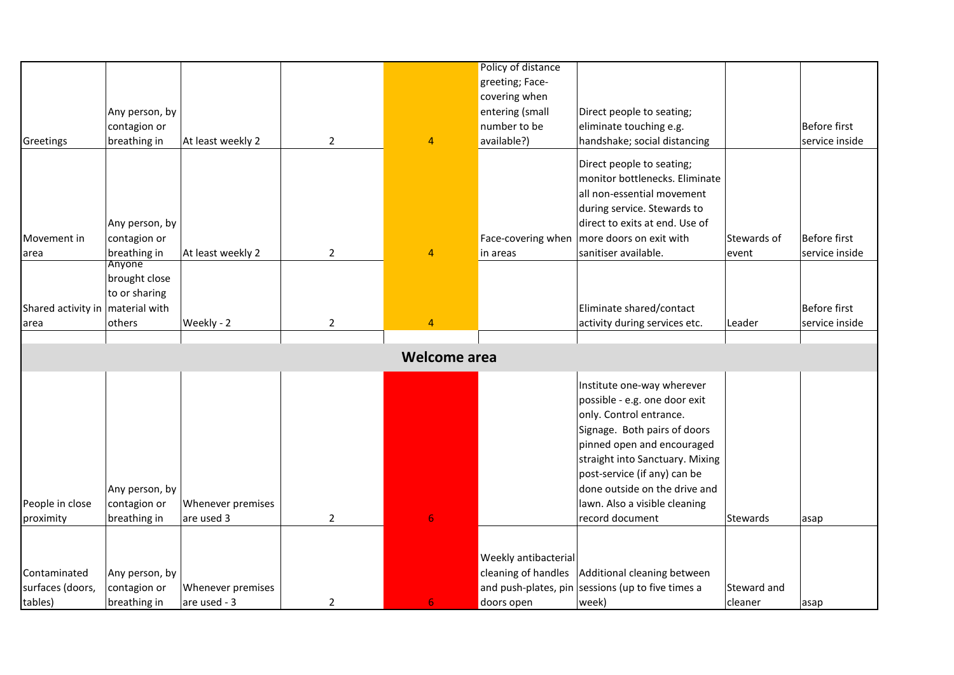|                                              |                |                   |                |                     | Policy of distance   |                                                   |             |                     |
|----------------------------------------------|----------------|-------------------|----------------|---------------------|----------------------|---------------------------------------------------|-------------|---------------------|
|                                              |                |                   |                |                     | greeting; Face-      |                                                   |             |                     |
|                                              |                |                   |                |                     | covering when        |                                                   |             |                     |
|                                              | Any person, by |                   |                |                     | entering (small      | Direct people to seating;                         |             |                     |
|                                              | contagion or   |                   |                |                     | number to be         | eliminate touching e.g.                           |             | <b>Before first</b> |
| Greetings                                    | breathing in   | At least weekly 2 | $\overline{2}$ | $\overline{4}$      | available?)          | handshake; social distancing                      |             | service inside      |
|                                              |                |                   |                |                     |                      | Direct people to seating;                         |             |                     |
|                                              |                |                   |                |                     |                      | monitor bottlenecks. Eliminate                    |             |                     |
|                                              |                |                   |                |                     |                      | all non-essential movement                        |             |                     |
|                                              |                |                   |                |                     |                      | during service. Stewards to                       |             |                     |
|                                              | Any person, by |                   |                |                     |                      | direct to exits at end. Use of                    |             |                     |
| Movement in                                  | contagion or   |                   |                |                     | Face-covering when   | more doors on exit with                           | Stewards of | <b>Before first</b> |
| area                                         | breathing in   | At least weekly 2 | $\overline{2}$ | $\overline{4}$      | in areas             | sanitiser available.                              | event       | service inside      |
|                                              | Anyone         |                   |                |                     |                      |                                                   |             |                     |
|                                              | brought close  |                   |                |                     |                      |                                                   |             |                     |
|                                              | to or sharing  |                   |                |                     |                      |                                                   |             |                     |
| Shared activity in   material with           |                |                   |                |                     |                      | Eliminate shared/contact                          |             | <b>Before first</b> |
| area                                         | others         | Weekly - 2        | $2^{\circ}$    | $\overline{4}$      |                      | activity during services etc.                     | Leader      | service inside      |
|                                              |                |                   |                |                     |                      |                                                   |             |                     |
|                                              |                |                   |                | <b>Welcome area</b> |                      |                                                   |             |                     |
|                                              |                |                   |                |                     |                      | Institute one-way wherever                        |             |                     |
|                                              |                |                   |                |                     |                      | possible - e.g. one door exit                     |             |                     |
|                                              |                |                   |                |                     |                      | only. Control entrance.                           |             |                     |
|                                              |                |                   |                |                     |                      | Signage. Both pairs of doors                      |             |                     |
|                                              |                |                   |                |                     |                      | pinned open and encouraged                        |             |                     |
|                                              |                |                   |                |                     |                      |                                                   |             |                     |
|                                              |                |                   |                |                     |                      | straight into Sanctuary. Mixing                   |             |                     |
|                                              |                |                   |                |                     |                      | post-service (if any) can be                      |             |                     |
|                                              | Any person, by |                   |                |                     |                      | done outside on the drive and                     |             |                     |
|                                              | contagion or   | Whenever premises |                |                     |                      | lawn. Also a visible cleaning                     |             |                     |
|                                              | breathing in   | are used 3        | $\overline{2}$ | 6 <sup>1</sup>      |                      | record document                                   | Stewards    | asap                |
|                                              |                |                   |                |                     |                      |                                                   |             |                     |
|                                              |                |                   |                |                     | Weekly antibacterial |                                                   |             |                     |
| People in close<br>proximity<br>Contaminated | Any person, by |                   |                |                     | cleaning of handles  | Additional cleaning between                       |             |                     |
| surfaces (doors,                             | contagion or   | Whenever premises |                |                     |                      | and push-plates, pin sessions (up to five times a | Steward and |                     |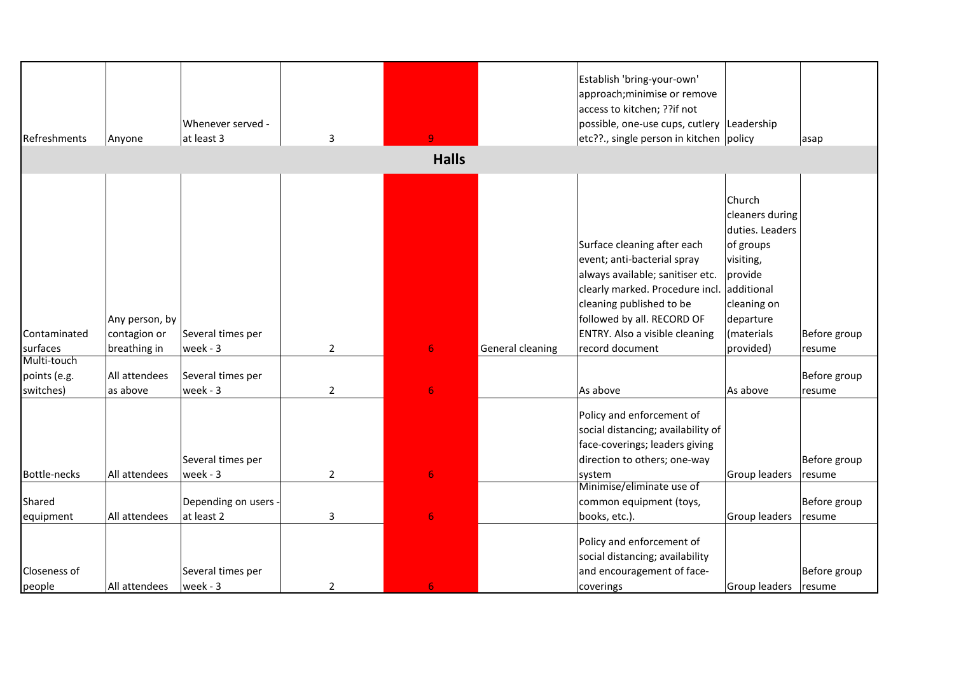| Refreshments | Anyone                         | Whenever served -<br>at least 3 | $\overline{3}$ | Q.               |                  | Establish 'bring-your-own'<br>approach; minimise or remove<br>access to kitchen; ??if not<br>possible, one-use cups, cutlery Leadership<br>etc??., single person in kitchen policy                                            |                                                                                                                                           | asap                   |
|--------------|--------------------------------|---------------------------------|----------------|------------------|------------------|-------------------------------------------------------------------------------------------------------------------------------------------------------------------------------------------------------------------------------|-------------------------------------------------------------------------------------------------------------------------------------------|------------------------|
|              |                                |                                 |                | <b>Halls</b>     |                  |                                                                                                                                                                                                                               |                                                                                                                                           |                        |
| Contaminated | Any person, by<br>contagion or | Several times per               |                |                  |                  | Surface cleaning after each<br>event; anti-bacterial spray<br>always available; sanitiser etc.<br>clearly marked. Procedure incl.<br>cleaning published to be<br>followed by all. RECORD OF<br>ENTRY. Also a visible cleaning | Church<br>cleaners during<br>duties. Leaders<br>of groups<br>visiting,<br>provide<br>additional<br>cleaning on<br>departure<br>(materials | Before group           |
| surfaces     | breathing in                   | week - 3                        | $\overline{2}$ | 6                | General cleaning | record document                                                                                                                                                                                                               | provided)                                                                                                                                 | resume                 |
| Multi-touch  |                                |                                 |                |                  |                  |                                                                                                                                                                                                                               |                                                                                                                                           |                        |
| points (e.g. | All attendees                  | Several times per               |                |                  |                  |                                                                                                                                                                                                                               |                                                                                                                                           | Before group           |
| switches)    | as above                       | week - 3                        | $\overline{2}$ | 6                |                  | As above                                                                                                                                                                                                                      | As above                                                                                                                                  | resume                 |
| Bottle-necks | All attendees                  | Several times per<br>week - 3   | $\overline{2}$ | $\overline{6}$   |                  | Policy and enforcement of<br>social distancing; availability of<br>face-coverings; leaders giving<br>direction to others; one-way<br>system                                                                                   | Group leaders                                                                                                                             | Before group<br>resume |
|              |                                |                                 |                |                  |                  | Minimise/eliminate use of                                                                                                                                                                                                     |                                                                                                                                           |                        |
| Shared       |                                | Depending on users -            |                |                  |                  | common equipment (toys,                                                                                                                                                                                                       |                                                                                                                                           | Before group           |
| equipment    | All attendees                  | at least 2                      | $\mathbf{3}$   | $\boldsymbol{6}$ |                  | books, etc.).                                                                                                                                                                                                                 | Group leaders                                                                                                                             | resume                 |
| Closeness of |                                | Several times per               |                |                  |                  | Policy and enforcement of<br>social distancing; availability<br>and encouragement of face-                                                                                                                                    |                                                                                                                                           | Before group           |
| people       | All attendees                  | week - 3                        | $\overline{2}$ | 6                |                  | coverings                                                                                                                                                                                                                     | Group leaders   resume                                                                                                                    |                        |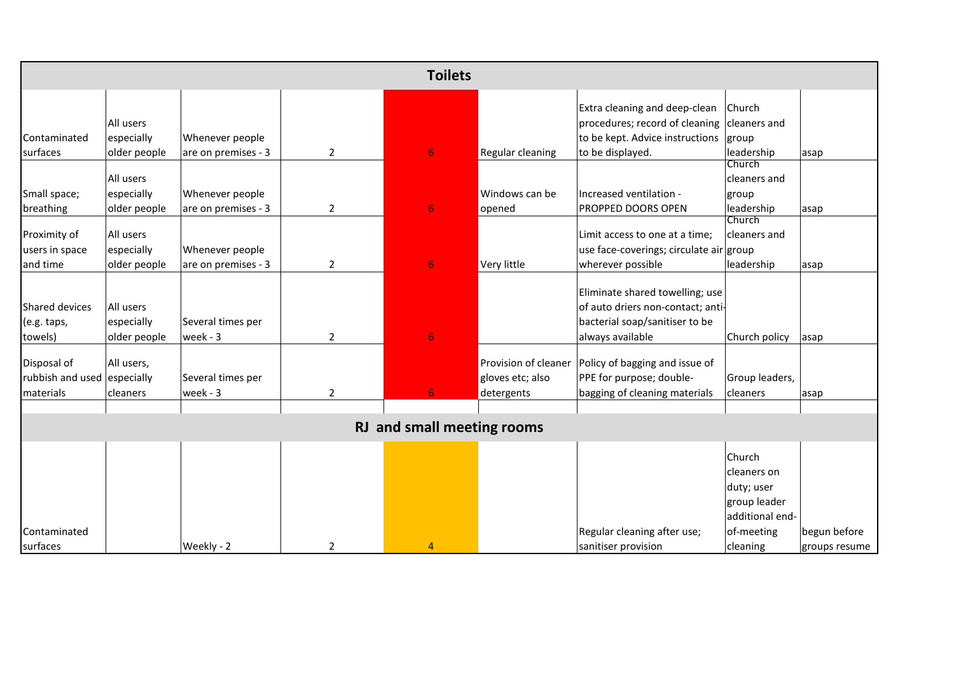|                             |              |                     |                | <b>Toilets</b>             |                         |                                         |                 |               |
|-----------------------------|--------------|---------------------|----------------|----------------------------|-------------------------|-----------------------------------------|-----------------|---------------|
|                             |              |                     |                |                            |                         |                                         |                 |               |
|                             |              |                     |                |                            |                         | Extra cleaning and deep-clean           | Church          |               |
|                             | All users    |                     |                |                            |                         | procedures; record of cleaning          | cleaners and    |               |
| Contaminated                | especially   | Whenever people     |                |                            |                         | to be kept. Advice instructions         | group           |               |
| surfaces                    | older people | are on premises - 3 | $\overline{2}$ | 6                          | <b>Regular cleaning</b> | to be displayed.                        | leadership      | asap          |
|                             |              |                     |                |                            |                         |                                         | Church          |               |
|                             | All users    |                     |                |                            |                         |                                         | cleaners and    |               |
| Small space;                | especially   | Whenever people     |                |                            | Windows can be          | Increased ventilation -                 | group           |               |
| breathing                   | older people | are on premises - 3 | $\overline{2}$ | 6                          | opened                  | PROPPED DOORS OPEN                      | leadership      | asap          |
|                             |              |                     |                |                            |                         |                                         | Church          |               |
| Proximity of                | All users    |                     |                |                            |                         | Limit access to one at a time;          | cleaners and    |               |
| users in space              | especially   | Whenever people     |                |                            |                         | use face-coverings; circulate air group |                 |               |
| and time                    | older people | are on premises - 3 | $\overline{2}$ | 6                          | Very little             | wherever possible                       | leadership      | asap          |
|                             |              |                     |                |                            |                         |                                         |                 |               |
|                             |              |                     |                |                            |                         | Eliminate shared towelling; use         |                 |               |
| Shared devices              | All users    |                     |                |                            |                         | of auto driers non-contact; anti-       |                 |               |
| (e.g. taps,                 | especially   | Several times per   |                |                            |                         | bacterial soap/sanitiser to be          |                 |               |
| towels)                     | older people | week - 3            | $\overline{2}$ | 6                          |                         | always available                        | Church policy   | asap          |
| Disposal of                 | All users,   |                     |                |                            | Provision of cleaner    | Policy of bagging and issue of          |                 |               |
| rubbish and used especially |              | Several times per   |                |                            | gloves etc; also        | PPE for purpose; double-                | Group leaders,  |               |
| materials                   | cleaners     | week - 3            | $\overline{2}$ |                            | detergents              | bagging of cleaning materials           | cleaners        | asap          |
|                             |              |                     |                |                            |                         |                                         |                 |               |
|                             |              |                     |                | RJ and small meeting rooms |                         |                                         |                 |               |
|                             |              |                     |                |                            |                         |                                         |                 |               |
|                             |              |                     |                |                            |                         |                                         | Church          |               |
|                             |              |                     |                |                            |                         |                                         | cleaners on     |               |
|                             |              |                     |                |                            |                         |                                         | duty; user      |               |
|                             |              |                     |                |                            |                         |                                         | group leader    |               |
|                             |              |                     |                |                            |                         |                                         | additional end- |               |
| Contaminated                |              |                     |                |                            |                         | Regular cleaning after use;             | of-meeting      | begun before  |
| surfaces                    |              | Weekly - 2          | $\overline{2}$ | 4                          |                         | sanitiser provision                     | cleaning        | groups resume |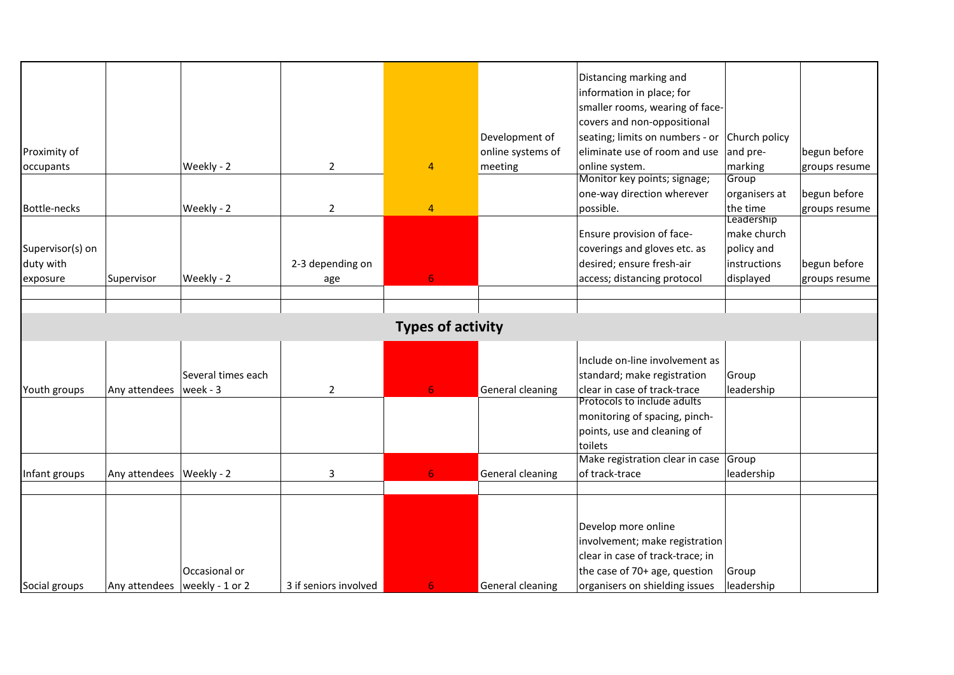| Proximity of<br>occupants        |                                 | Weekly - 2                     | $\overline{2}$          | $\overline{4}$           | Development of<br>online systems of<br>meeting | Distancing marking and<br>information in place; for<br>smaller rooms, wearing of face-<br>covers and non-oppositional<br>seating; limits on numbers - or<br>eliminate use of room and use<br>online system.<br>Monitor key points; signage; | Church policy<br>and pre-<br>marking<br>Group | begun before<br>groups resume |
|----------------------------------|---------------------------------|--------------------------------|-------------------------|--------------------------|------------------------------------------------|---------------------------------------------------------------------------------------------------------------------------------------------------------------------------------------------------------------------------------------------|-----------------------------------------------|-------------------------------|
|                                  |                                 |                                |                         | $\overline{4}$           |                                                | one-way direction wherever<br>possible.                                                                                                                                                                                                     | organisers at<br>the time                     | begun before                  |
| Bottle-necks<br>Supervisor(s) on |                                 | Weekly - 2                     | $\overline{2}$          |                          |                                                | Ensure provision of face-<br>coverings and gloves etc. as                                                                                                                                                                                   | Leadership<br>make church<br>policy and       | groups resume                 |
| duty with<br>exposure            | Supervisor                      | Weekly - 2                     | 2-3 depending on<br>age | 6                        |                                                | desired; ensure fresh-air<br>access; distancing protocol                                                                                                                                                                                    | instructions<br>displayed                     | begun before<br>groups resume |
|                                  |                                 |                                |                         |                          |                                                |                                                                                                                                                                                                                                             |                                               |                               |
|                                  |                                 |                                |                         |                          |                                                |                                                                                                                                                                                                                                             |                                               |                               |
|                                  |                                 |                                |                         | <b>Types of activity</b> |                                                |                                                                                                                                                                                                                                             |                                               |                               |
| Youth groups                     | Any attendees                   | Several times each<br>week - 3 | $\overline{2}$          | 6.                       | <b>General cleaning</b>                        | Include on-line involvement as<br>standard; make registration<br>clear in case of track-trace                                                                                                                                               | Group<br>leadership                           |                               |
|                                  |                                 |                                |                         |                          |                                                | Protocols to include adults<br>monitoring of spacing, pinch-<br>points, use and cleaning of<br>toilets                                                                                                                                      |                                               |                               |
| Infant groups                    | Any attendees   Weekly - 2      |                                | 3                       | 6                        | General cleaning                               | Make registration clear in case<br>of track-trace                                                                                                                                                                                           | Group<br>leadership                           |                               |
| Social groups                    | Any attendees   weekly - 1 or 2 | Occasional or                  | 3 if seniors involved   | 6 <sup>1</sup>           | General cleaning                               | Develop more online<br>involvement; make registration<br>clear in case of track-trace; in<br>the case of 70+ age, question<br>organisers on shielding issues                                                                                | Group<br>leadership                           |                               |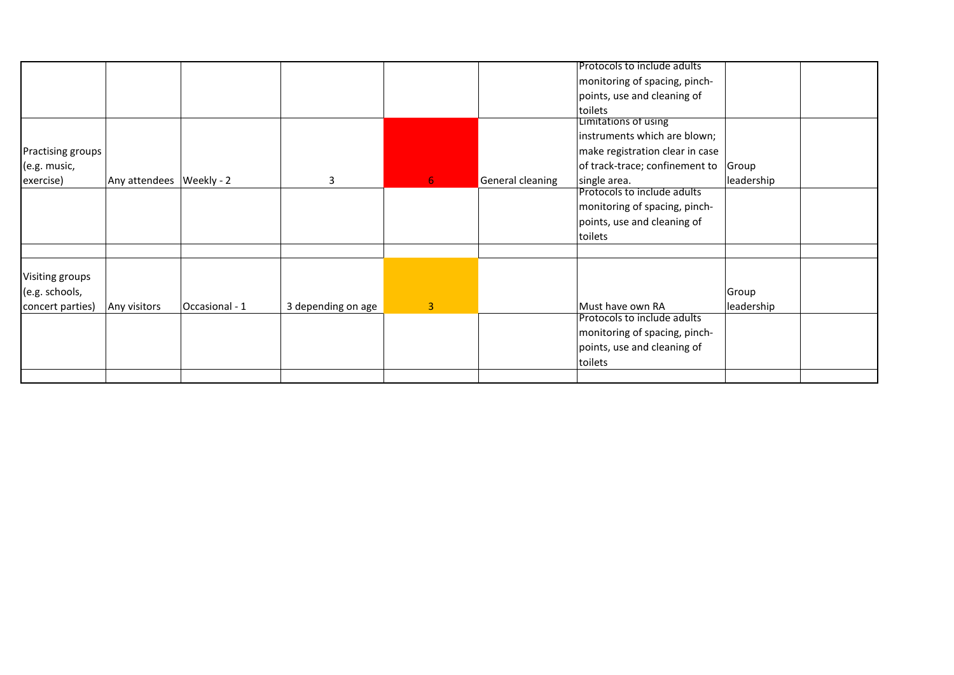|                   |                            |                |                    |                |                         | Protocols to include adults          |            |  |
|-------------------|----------------------------|----------------|--------------------|----------------|-------------------------|--------------------------------------|------------|--|
|                   |                            |                |                    |                |                         |                                      |            |  |
|                   |                            |                |                    |                |                         | monitoring of spacing, pinch-        |            |  |
|                   |                            |                |                    |                |                         | points, use and cleaning of          |            |  |
|                   |                            |                |                    |                |                         | toilets                              |            |  |
|                   |                            |                |                    |                |                         | Limitations of using                 |            |  |
|                   |                            |                |                    |                |                         | instruments which are blown;         |            |  |
| Practising groups |                            |                |                    |                |                         | make registration clear in case      |            |  |
| (e.g. music,      |                            |                |                    |                |                         | of track-trace; confinement to Group |            |  |
| exercise)         | Any attendees   Weekly - 2 |                | 3                  | 6 <sub>1</sub> | <b>General cleaning</b> | single area.                         | leadership |  |
|                   |                            |                |                    |                |                         | Protocols to include adults          |            |  |
|                   |                            |                |                    |                |                         | monitoring of spacing, pinch-        |            |  |
|                   |                            |                |                    |                |                         | points, use and cleaning of          |            |  |
|                   |                            |                |                    |                |                         |                                      |            |  |
|                   |                            |                |                    |                |                         | toilets                              |            |  |
|                   |                            |                |                    |                |                         |                                      |            |  |
|                   |                            |                |                    |                |                         |                                      |            |  |
| Visiting groups   |                            |                |                    |                |                         |                                      |            |  |
| (e.g. schools,    |                            |                |                    |                |                         |                                      | Group      |  |
| concert parties)  | Any visitors               | Occasional - 1 | 3 depending on age | $\overline{3}$ |                         | Must have own RA                     | leadership |  |
|                   |                            |                |                    |                |                         | Protocols to include adults          |            |  |
|                   |                            |                |                    |                |                         | monitoring of spacing, pinch-        |            |  |
|                   |                            |                |                    |                |                         | points, use and cleaning of          |            |  |
|                   |                            |                |                    |                |                         |                                      |            |  |
|                   |                            |                |                    |                |                         | toilets                              |            |  |
|                   |                            |                |                    |                |                         |                                      |            |  |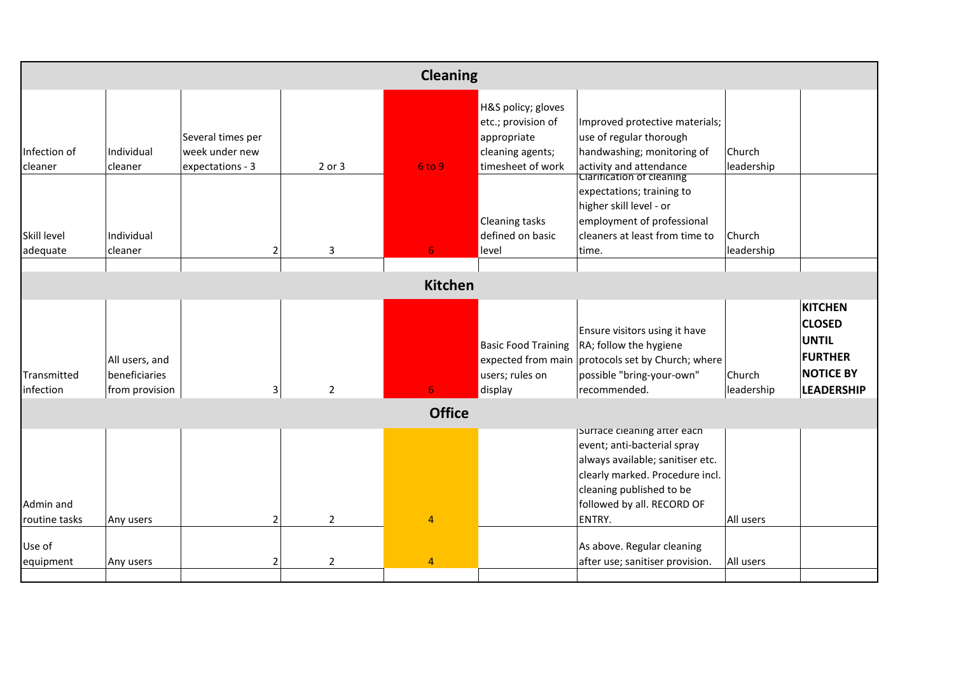|                            |                                                   |                                                         |                | <b>Cleaning</b> |                                                                                                  |                                                                                                                                                                                                       |                       |                                                                                                            |  |  |
|----------------------------|---------------------------------------------------|---------------------------------------------------------|----------------|-----------------|--------------------------------------------------------------------------------------------------|-------------------------------------------------------------------------------------------------------------------------------------------------------------------------------------------------------|-----------------------|------------------------------------------------------------------------------------------------------------|--|--|
| Infection of<br>cleaner    | Individual<br>cleaner                             | Several times per<br>week under new<br>expectations - 3 | 2 or 3         | 6 to 9          | H&S policy; gloves<br>etc.; provision of<br>appropriate<br>cleaning agents;<br>timesheet of work | Improved protective materials;<br>use of regular thorough<br>handwashing; monitoring of<br>activity and attendance<br>Clarification of cleaning                                                       | lChurch<br>leadership |                                                                                                            |  |  |
| Skill level<br>adequate    | Individual<br>cleaner                             | $\overline{2}$                                          | 3              | 6.              | <b>Cleaning tasks</b><br>defined on basic<br>level                                               | expectations; training to<br>higher skill level - or<br>employment of professional<br>cleaners at least from time to<br>time.                                                                         | Church<br>leadership  |                                                                                                            |  |  |
| <b>Kitchen</b>             |                                                   |                                                         |                |                 |                                                                                                  |                                                                                                                                                                                                       |                       |                                                                                                            |  |  |
| Transmitted<br>linfection  | All users, and<br>beneficiaries<br>from provision | $\overline{3}$                                          | $\overline{2}$ | 6.              | <b>Basic Food Training</b><br>users; rules on<br>display                                         | Ensure visitors using it have<br>RA; follow the hygiene<br>expected from main protocols set by Church; where<br>possible "bring-your-own"<br>recommended.                                             | Church<br>leadership  | <b>KITCHEN</b><br><b>CLOSED</b><br><b>UNTIL</b><br><b>FURTHER</b><br><b>NOTICE BY</b><br><b>LEADERSHIP</b> |  |  |
|                            |                                                   |                                                         |                | <b>Office</b>   |                                                                                                  |                                                                                                                                                                                                       |                       |                                                                                                            |  |  |
| Admin and<br>routine tasks | Any users                                         | $\overline{2}$                                          | $\overline{2}$ | $\overline{4}$  |                                                                                                  | Surface cleaning after each<br>event; anti-bacterial spray<br>always available; sanitiser etc.<br>clearly marked. Procedure incl.<br>cleaning published to be<br>followed by all. RECORD OF<br>ENTRY. | All users             |                                                                                                            |  |  |
| Use of<br>equipment        | Any users                                         | $\overline{2}$                                          | $\overline{2}$ | $\overline{4}$  |                                                                                                  | As above. Regular cleaning<br>after use; sanitiser provision.                                                                                                                                         | All users             |                                                                                                            |  |  |
|                            |                                                   |                                                         |                |                 |                                                                                                  |                                                                                                                                                                                                       |                       |                                                                                                            |  |  |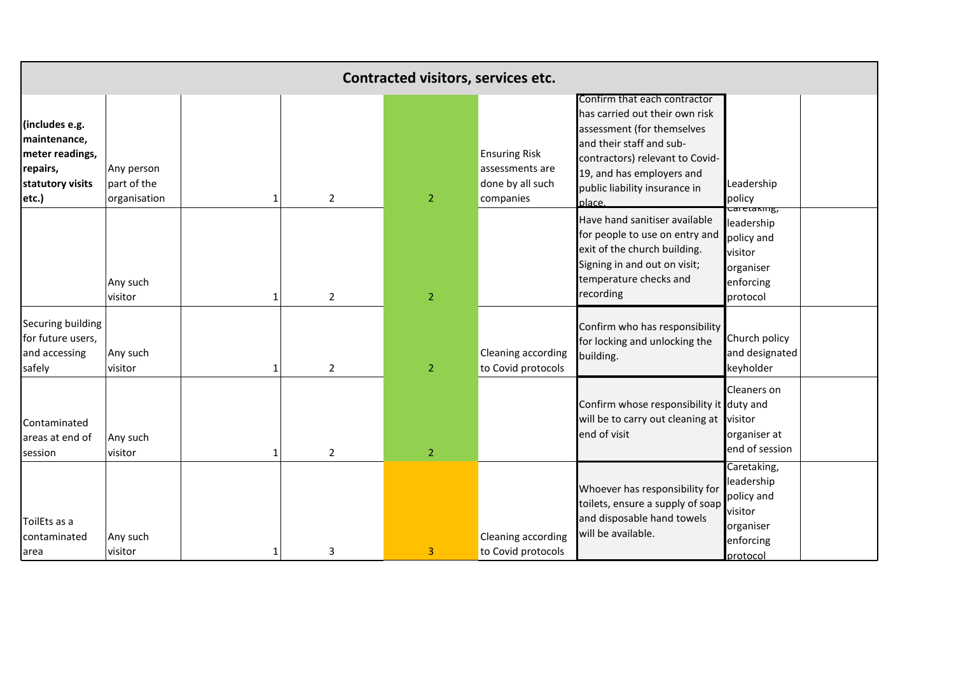|                                                                                            |                                           |   |                | Contracted visitors, services etc. |                                                                          |                                                                                                                                                                                                                                     |                                                                                               |  |
|--------------------------------------------------------------------------------------------|-------------------------------------------|---|----------------|------------------------------------|--------------------------------------------------------------------------|-------------------------------------------------------------------------------------------------------------------------------------------------------------------------------------------------------------------------------------|-----------------------------------------------------------------------------------------------|--|
| (includes e.g.<br>maintenance,<br>meter readings,<br>repairs,<br>statutory visits<br>etc.) | Any person<br>part of the<br>organisation |   | $\overline{2}$ | $\overline{2}$                     | <b>Ensuring Risk</b><br>assessments are<br>done by all such<br>companies | Confirm that each contractor<br>has carried out their own risk<br>assessment (for themselves<br>and their staff and sub-<br>contractors) relevant to Covid-<br>19, and has employers and<br>public liability insurance in<br>place. | Leadership<br>policy                                                                          |  |
|                                                                                            | Any such<br>visitor                       | 1 | $\overline{2}$ | $\overline{2}$                     |                                                                          | Have hand sanitiser available<br>for people to use on entry and<br>exit of the church building.<br>Signing in and out on visit;<br>temperature checks and<br>recording                                                              | .<br>Caretaking,<br>leadership<br>policy and<br>visitor<br>organiser<br>enforcing<br>protocol |  |
| Securing building<br>for future users,<br>and accessing<br>safely                          | Any such<br>visitor                       |   | $\overline{2}$ | 2 <sup>1</sup>                     | Cleaning according<br>to Covid protocols                                 | Confirm who has responsibility<br>for locking and unlocking the<br>building.                                                                                                                                                        | Church policy<br>and designated<br>keyholder                                                  |  |
| Contaminated<br>areas at end of<br>session                                                 | Any such<br>visitor                       |   | $\overline{2}$ | 2 <sup>1</sup>                     |                                                                          | Confirm whose responsibility it duty and<br>will be to carry out cleaning at visitor<br>end of visit                                                                                                                                | Cleaners on<br>organiser at<br>end of session                                                 |  |
| ToilEts as a<br>contaminated<br>area                                                       | Any such<br>visitor                       |   | 3              | $\overline{3}$                     | <b>Cleaning according</b><br>to Covid protocols                          | Whoever has responsibility for<br>toilets, ensure a supply of soap<br>and disposable hand towels<br>will be available.                                                                                                              | Caretaking,<br>leadership<br>policy and<br>visitor<br>organiser<br>enforcing<br>protocol      |  |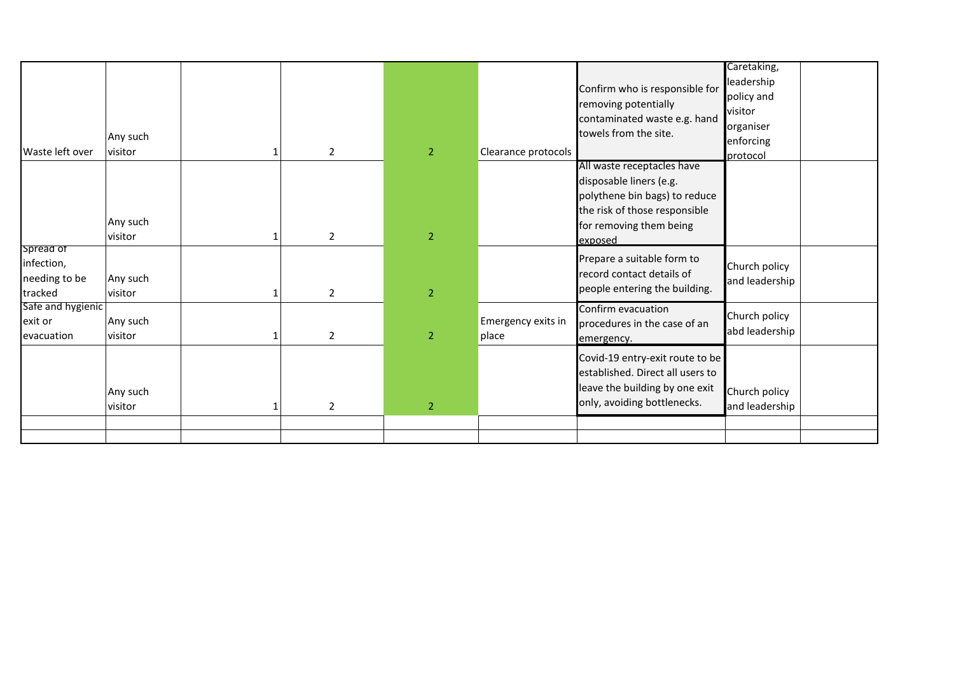| Waste left over                            | Any such<br>visitor | $\overline{2}$ | $\overline{2}$ | Clearance protocols         | Confirm who is responsible for<br>removing potentially<br>contaminated waste e.g. hand<br>towels from the site.                                               | Caretaking,<br>leadership<br>policy and<br>visitor<br>organiser<br>enforcing<br>protocol |
|--------------------------------------------|---------------------|----------------|----------------|-----------------------------|---------------------------------------------------------------------------------------------------------------------------------------------------------------|------------------------------------------------------------------------------------------|
| Spread of                                  | Any such<br>visitor | $\overline{2}$ | $\overline{2}$ |                             | All waste receptacles have<br>disposable liners (e.g.<br>polythene bin bags) to reduce<br>the risk of those responsible<br>for removing them being<br>exposed |                                                                                          |
| infection,<br>needing to be<br>tracked     | Any such<br>visitor | $\overline{2}$ | 2 <sup>1</sup> |                             | Prepare a suitable form to<br>record contact details of<br>people entering the building.                                                                      | Church policy<br>and leadership                                                          |
| Safe and hygienic<br>exit or<br>evacuation | Any such<br>visitor | $\overline{2}$ | $\overline{2}$ | Emergency exits in<br>place | Confirm evacuation<br>procedures in the case of an<br>emergency.                                                                                              | Church policy<br>abd leadership                                                          |
|                                            | Any such<br>visitor | $\overline{2}$ | 2 <sup>1</sup> |                             | Covid-19 entry-exit route to be<br>established. Direct all users to<br>leave the building by one exit<br>only, avoiding bottlenecks.                          | Church policy<br>and leadership                                                          |
|                                            |                     |                |                |                             |                                                                                                                                                               |                                                                                          |